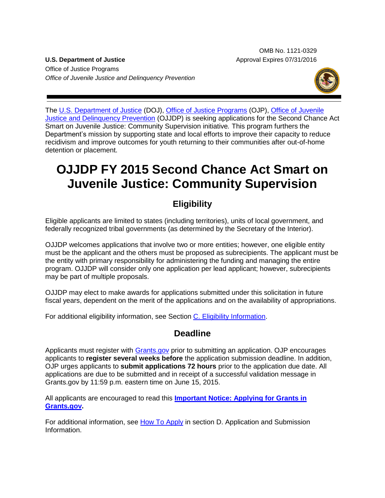OMB No. 1121-0329 **U.S. Department of Justice** Approval Expires 07/31/2016

Office of Justice Programs *Office of Juvenile Justice and Delinquency Prevention*



The [U.S. Department of Justice](http://www.usdoj.gov/) (DOJ), [Office of Justice Programs](http://www.ojp.usdoj.gov/) (OJP), Office of Juvenile [Justice and Delinquency Prevention](http://www.ojjdp.gov/) (OJJDP) is seeking applications for the Second Chance Act Smart on Juvenile Justice: Community Supervision initiative*.* This program furthers the Department's mission by supporting state and local efforts to improve their capacity to reduce recidivism and improve outcomes for youth returning to their communities after out-of-home detention or placement.

# **OJJDP FY 2015 Second Chance Act Smart on Juvenile Justice: Community Supervision**

# **Eligibility**

Eligible applicants are limited to states (including territories), units of local government, and federally recognized tribal governments (as determined by the Secretary of the Interior).

OJJDP welcomes applications that involve two or more entities; however, one eligible entity must be the applicant and the others must be proposed as subrecipients. The applicant must be the entity with primary responsibility for administering the funding and managing the entire program. OJJDP will consider only one application per lead applicant; however, subrecipients may be part of multiple proposals.

OJJDP may elect to make awards for applications submitted under this solicitation in future fiscal years, dependent on the merit of the applications and on the availability of appropriations.

For additional eligibility information, see Section [C. Eligibility Information.](#page-11-0)

# **Deadline**

Applicants must register with [Grants.gov](http://www.grants.gov/applicants/apply_for_grants.jsp) prior to submitting an application. OJP encourages applicants to **register several weeks before** the application submission deadline. In addition, OJP urges applicants to **submit applications 72 hours** prior to the application due date. All applications are due to be submitted and in receipt of a successful validation message in Grants.gov by 11:59 p.m. eastern time on June 15, 2015.

All applicants are encouraged to read this **[Important Notice: Applying for Grants in](http://ojp.gov/funding/Apply/Grants-govInfo.htm)  [Grants.gov.](http://ojp.gov/funding/Apply/Grants-govInfo.htm)**

For additional information, see [How To Apply](#page-23-0) in section D. Application and Submission [Information.](#page-12-0)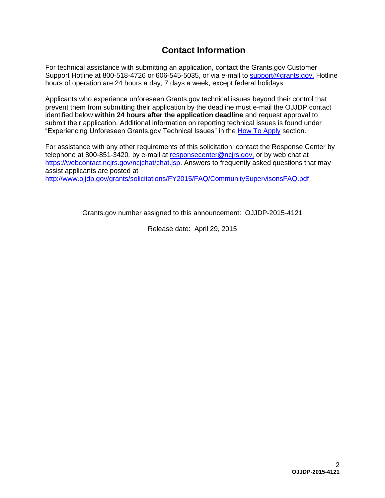# **Contact Information**

For technical assistance with submitting an application, contact the Grants.gov Customer Support Hotline at 800-518-4726 or 606-545-5035, or via e-mail to [support@grants.gov.](mailto:support@grants.gov) Hotline hours of operation are 24 hours a day, 7 days a week, except federal holidays.

Applicants who experience unforeseen Grants.gov technical issues beyond their control that prevent them from submitting their application by the deadline must e-mail the OJJDP contact identified below **within 24 hours after the application deadline** and request approval to submit their application. Additional information on reporting technical issues is found under "Experiencing Unforeseen Grants.gov Technical Issues" in the [How To Apply](#page-23-0) section.

For assistance with any other requirements of this solicitation, contact the Response Center by telephone at 800-851-3420*,* by e-mail at [responsecenter@ncjrs.gov,](mailto:responsecenter@ncjrs.gov) or by web chat at https://webcontact.ncirs.gov/ncjchat/chat.jsp. Answers to frequently asked questions that may assist applicants are posted at [http://www.ojjdp.gov/grants/solicitations/FY2015/FAQ/CommunitySupervisonsFAQ.pdf.](http://www.ojjdp.gov/grants/solicitations/FY2015/FAQ/CommunitySupervisonsFAQ.pdf)

Grants.gov number assigned to this announcement: OJJDP-2015-4121

Release date: April 29, 2015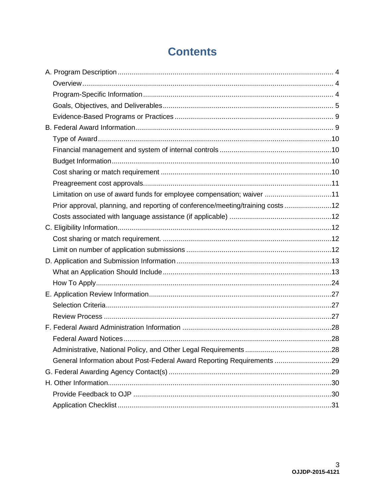# **Contents**

| Limitation on use of award funds for employee compensation; waiver 11          |  |
|--------------------------------------------------------------------------------|--|
| Prior approval, planning, and reporting of conference/meeting/training costs12 |  |
|                                                                                |  |
|                                                                                |  |
|                                                                                |  |
|                                                                                |  |
|                                                                                |  |
|                                                                                |  |
|                                                                                |  |
|                                                                                |  |
|                                                                                |  |
|                                                                                |  |
|                                                                                |  |
|                                                                                |  |
|                                                                                |  |
| General Information about Post-Federal Award Reporting Requirements 29         |  |
|                                                                                |  |
|                                                                                |  |
|                                                                                |  |
|                                                                                |  |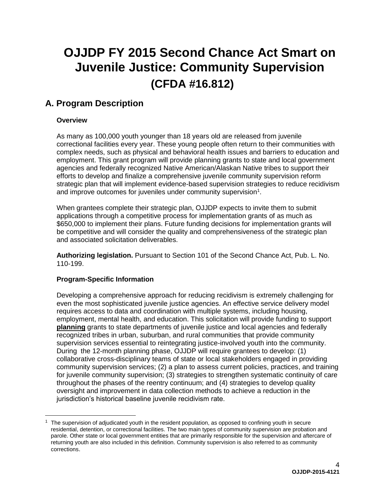# **OJJDP FY 2015 Second Chance Act Smart on Juvenile Justice: Community Supervision (CFDA #16.812)**

# <span id="page-3-0"></span>**A. Program Description**

# <span id="page-3-1"></span>**Overview**

 $\overline{a}$ 

As many as 100,000 youth younger than 18 years old are released from juvenile correctional facilities every year. These young people often return to their communities with complex needs, such as physical and behavioral health issues and barriers to education and employment. This grant program will provide planning grants to state and local government agencies and federally recognized Native American/Alaskan Native tribes to support their efforts to develop and finalize a comprehensive juvenile community supervision reform strategic plan that will implement evidence-based supervision strategies to reduce recidivism and improve outcomes for juveniles under community supervision<sup>1</sup>.

When grantees complete their strategic plan, OJJDP expects to invite them to submit applications through a competitive process for implementation grants of as much as \$650,000 to implement their plans. Future funding decisions for implementation grants will be competitive and will consider the quality and comprehensiveness of the strategic plan and associated solicitation deliverables.

**Authorizing legislation.** Pursuant to Section 101 of the Second Chance Act, Pub. L. No. 110-199.

# <span id="page-3-2"></span>**Program-Specific Information**

Developing a comprehensive approach for reducing recidivism is extremely challenging for even the most sophisticated juvenile justice agencies. An effective service delivery model requires access to data and coordination with multiple systems, including housing, employment, mental health, and education. This solicitation will provide funding to support **planning** grants to state departments of juvenile justice and local agencies and federally recognized tribes in urban, suburban, and rural communities that provide community supervision services essential to reintegrating justice-involved youth into the community. During the 12-month planning phase, OJJDP will require grantees to develop: (1) collaborative cross-disciplinary teams of state or local stakeholders engaged in providing community supervision services; (2) a plan to assess current policies, practices, and training for juvenile community supervision; (3) strategies to strengthen systematic continuity of care throughout the phases of the reentry continuum; and (4) strategies to develop quality oversight and improvement in data collection methods to achieve a reduction in the jurisdiction's historical baseline juvenile recidivism rate.

 $1$  The supervision of adjudicated youth in the resident population, as opposed to confining youth in secure residential, detention, or correctional facilities. The two main types of community supervision are probation and parole. Other state or local government entities that are primarily responsible for the supervision and aftercare of returning youth are also included in this definition. Community supervision is also referred to as community corrections.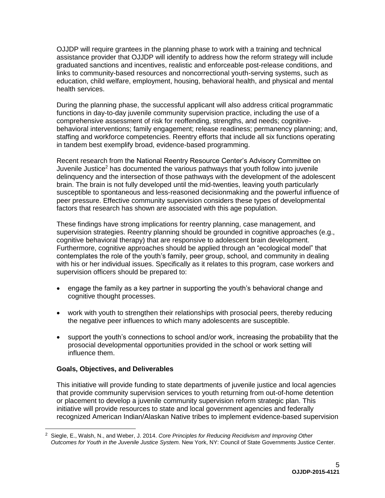OJJDP will require grantees in the planning phase to work with a training and technical assistance provider that OJJDP will identify to address how the reform strategy will include graduated sanctions and incentives, realistic and enforceable post-release conditions, and links to community-based resources and noncorrectional youth-serving systems, such as education, child welfare, employment, housing, behavioral health, and physical and mental health services.

During the planning phase, the successful applicant will also address critical programmatic functions in day-to-day juvenile community supervision practice, including the use of a comprehensive assessment of risk for reoffending, strengths, and needs; cognitivebehavioral interventions; family engagement; release readiness; permanency planning; and, staffing and workforce competencies. Reentry efforts that include all six functions operating in tandem best exemplify broad, evidence-based programming.

Recent research from the National Reentry Resource Center's Advisory Committee on Juvenile Justice<sup>2</sup> has documented the various pathways that youth follow into juvenile delinquency and the intersection of those pathways with the development of the adolescent brain. The brain is not fully developed until the mid-twenties, leaving youth particularly susceptible to spontaneous and less-reasoned decisionmaking and the powerful influence of peer pressure. Effective community supervision considers these types of developmental factors that research has shown are associated with this age population.

These findings have strong implications for reentry planning, case management, and supervision strategies. Reentry planning should be grounded in cognitive approaches (e.g., cognitive behavioral therapy) that are responsive to adolescent brain development. Furthermore, cognitive approaches should be applied through an "ecological model" that contemplates the role of the youth's family, peer group, school, and community in dealing with his or her individual issues. Specifically as it relates to this program, case workers and supervision officers should be prepared to:

- engage the family as a key partner in supporting the youth's behavioral change and cognitive thought processes.
- work with youth to strengthen their relationships with prosocial peers, thereby reducing the negative peer influences to which many adolescents are susceptible.
- support the youth's connections to school and/or work, increasing the probability that the prosocial developmental opportunities provided in the school or work setting will influence them.

# <span id="page-4-0"></span>**Goals, Objectives, and Deliverables**

This initiative will provide funding to state departments of juvenile justice and local agencies that provide community supervision services to youth returning from out-of-home detention or placement to develop a juvenile community supervision reform strategic plan. This initiative will provide resources to state and local government agencies and federally recognized American Indian/Alaskan Native tribes to implement evidence-based supervision

<sup>2</sup> Siegle, E., Walsh, N., and Weber, J. 2014. *Core Principles for Reducing Recidivism and Improving Other Outcomes for Youth in the Juvenile Justice System.* New York, NY: Council of State Governments Justice Center.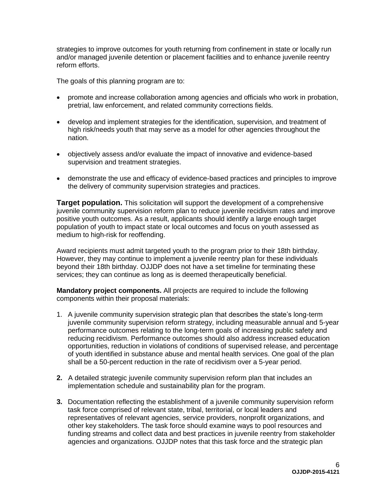strategies to improve outcomes for youth returning from confinement in state or locally run and/or managed juvenile detention or placement facilities and to enhance juvenile reentry reform efforts.

The goals of this planning program are to:

- promote and increase collaboration among agencies and officials who work in probation, pretrial, law enforcement, and related community corrections fields.
- develop and implement strategies for the identification, supervision, and treatment of high risk/needs youth that may serve as a model for other agencies throughout the nation.
- objectively assess and/or evaluate the impact of innovative and evidence-based supervision and treatment strategies.
- demonstrate the use and efficacy of evidence-based practices and principles to improve the delivery of community supervision strategies and practices.

**Target population.** This solicitation will support the development of a comprehensive juvenile community supervision reform plan to reduce juvenile recidivism rates and improve positive youth outcomes. As a result, applicants should identify a large enough target population of youth to impact state or local outcomes and focus on youth assessed as medium to high-risk for reoffending.

Award recipients must admit targeted youth to the program prior to their 18th birthday. However, they may continue to implement a juvenile reentry plan for these individuals beyond their 18th birthday. OJJDP does not have a set timeline for terminating these services; they can continue as long as is deemed therapeutically beneficial.

**Mandatory project components.** All projects are required to include the following components within their proposal materials:

- 1. A juvenile community supervision strategic plan that describes the state's long-term juvenile community supervision reform strategy, including measurable annual and 5-year performance outcomes relating to the long-term goals of increasing public safety and reducing recidivism. Performance outcomes should also address increased education opportunities, reduction in violations of conditions of supervised release, and percentage of youth identified in substance abuse and mental health services. One goal of the plan shall be a 50-percent reduction in the rate of recidivism over a 5-year period.
- **2.** A detailed strategic juvenile community supervision reform plan that includes an implementation schedule and sustainability plan for the program.
- **3.** Documentation reflecting the establishment of a juvenile community supervision reform task force comprised of relevant state, tribal, territorial, or local leaders and representatives of relevant agencies, service providers, nonprofit organizations, and other key stakeholders. The task force should examine ways to pool resources and funding streams and collect data and best practices in juvenile reentry from stakeholder agencies and organizations. OJJDP notes that this task force and the strategic plan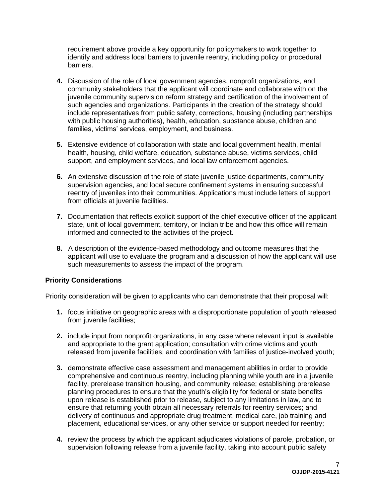requirement above provide a key opportunity for policymakers to work together to identify and address local barriers to juvenile reentry, including policy or procedural barriers.

- **4.** Discussion of the role of local government agencies, nonprofit organizations, and community stakeholders that the applicant will coordinate and collaborate with on the juvenile community supervision reform strategy and certification of the involvement of such agencies and organizations. Participants in the creation of the strategy should include representatives from public safety, corrections, housing (including partnerships with public housing authorities), health, education, substance abuse, children and families, victims' services, employment, and business.
- **5.** Extensive evidence of collaboration with state and local government health, mental health, housing, child welfare, education, substance abuse, victims services, child support, and employment services, and local law enforcement agencies.
- **6.** An extensive discussion of the role of state juvenile justice departments, community supervision agencies, and local secure confinement systems in ensuring successful reentry of juveniles into their communities. Applications must include letters of support from officials at juvenile facilities.
- **7.** Documentation that reflects explicit support of the chief executive officer of the applicant state, unit of local government, territory, or Indian tribe and how this office will remain informed and connected to the activities of the project.
- **8.** A description of the evidence-based methodology and outcome measures that the applicant will use to evaluate the program and a discussion of how the applicant will use such measurements to assess the impact of the program.

# **Priority Considerations**

Priority consideration will be given to applicants who can demonstrate that their proposal will:

- **1.** focus initiative on geographic areas with a disproportionate population of youth released from juvenile facilities;
- **2.** include input from nonprofit organizations, in any case where relevant input is available and appropriate to the grant application; consultation with crime victims and youth released from juvenile facilities; and coordination with families of justice-involved youth;
- **3.** demonstrate effective case assessment and management abilities in order to provide comprehensive and continuous reentry, including planning while youth are in a juvenile facility, prerelease transition housing, and community release; establishing prerelease planning procedures to ensure that the youth's eligibility for federal or state benefits upon release is established prior to release, subject to any limitations in law, and to ensure that returning youth obtain all necessary referrals for reentry services; and delivery of continuous and appropriate drug treatment, medical care, job training and placement, educational services, or any other service or support needed for reentry;
- **4.** review the process by which the applicant adjudicates violations of parole, probation, or supervision following release from a juvenile facility, taking into account public safety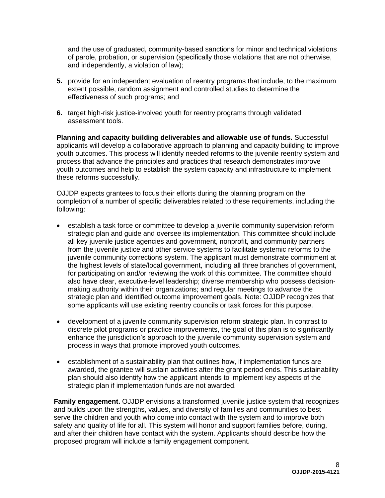and the use of graduated, community-based sanctions for minor and technical violations of parole, probation, or supervision (specifically those violations that are not otherwise, and independently, a violation of law);

- **5.** provide for an independent evaluation of reentry programs that include, to the maximum extent possible, random assignment and controlled studies to determine the effectiveness of such programs; and
- **6.** target high-risk justice-involved youth for reentry programs through validated assessment tools.

**Planning and capacity building deliverables and allowable use of funds.** Successful applicants will develop a collaborative approach to planning and capacity building to improve youth outcomes. This process will identify needed reforms to the juvenile reentry system and process that advance the principles and practices that research demonstrates improve youth outcomes and help to establish the system capacity and infrastructure to implement these reforms successfully.

OJJDP expects grantees to focus their efforts during the planning program on the completion of a number of specific deliverables related to these requirements, including the following:

- establish a task force or committee to develop a juvenile community supervision reform strategic plan and guide and oversee its implementation. This committee should include all key juvenile justice agencies and government, nonprofit, and community partners from the juvenile justice and other service systems to facilitate systemic reforms to the juvenile community corrections system. The applicant must demonstrate commitment at the highest levels of state/local government, including all three branches of government, for participating on and/or reviewing the work of this committee. The committee should also have clear, executive-level leadership; diverse membership who possess decisionmaking authority within their organizations; and regular meetings to advance the strategic plan and identified outcome improvement goals. Note: OJJDP recognizes that some applicants will use existing reentry councils or task forces for this purpose.
- development of a juvenile community supervision reform strategic plan. In contrast to discrete pilot programs or practice improvements, the goal of this plan is to significantly enhance the jurisdiction's approach to the juvenile community supervision system and process in ways that promote improved youth outcomes.
- establishment of a sustainability plan that outlines how, if implementation funds are awarded, the grantee will sustain activities after the grant period ends. This sustainability plan should also identify how the applicant intends to implement key aspects of the strategic plan if implementation funds are not awarded.

**Family engagement.** OJJDP envisions a transformed juvenile justice system that recognizes and builds upon the strengths, values, and diversity of families and communities to best serve the children and youth who come into contact with the system and to improve both safety and quality of life for all. This system will honor and support families before, during, and after their children have contact with the system. Applicants should describe how the proposed program will include a family engagement component.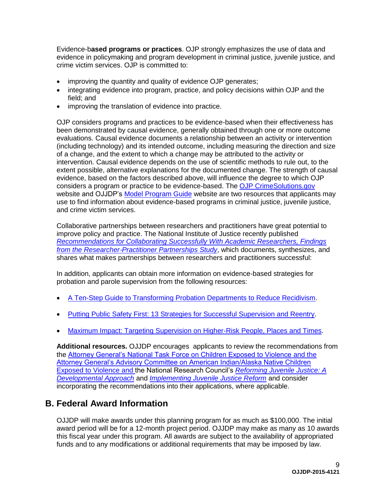<span id="page-8-0"></span>Evidence-b**ased programs or practices**. OJP strongly emphasizes the use of data and evidence in policymaking and program development in criminal justice, juvenile justice, and crime victim services. OJP is committed to:

- improving the quantity and quality of evidence OJP generates;
- integrating evidence into program, practice, and policy decisions within OJP and the field; and
- improving the translation of evidence into practice.

OJP considers programs and practices to be evidence-based when their effectiveness has been demonstrated by causal evidence, generally obtained through one or more outcome evaluations. Causal evidence documents a relationship between an activity or intervention (including technology) and its intended outcome, including measuring the direction and size of a change, and the extent to which a change may be attributed to the activity or intervention. Causal evidence depends on the use of scientific methods to rule out, to the extent possible, alternative explanations for the documented change. The strength of causal evidence, based on the factors described above, will influence the degree to which OJP considers a program or practice to be evidence-based. The [OJP CrimeSolutions.gov](http://www.crimesolutions.gov/) website and OJJDP's [Model Program Guide](http://www.ojjdp.gov/MPG/) website are two resources that applicants may use to find information about evidence-based programs in criminal justice, juvenile justice, and crime victim services.

Collaborative partnerships between researchers and practitioners have great potential to improve policy and practice. The National Institute of Justice recently published *[Recommendations for Collaborating Successfully With Academic Researchers, Findings](https://www.ncjrs.gov/pdffiles1/nij/grants/243911.pdf)  from the Researcher*‐*[Practitioner Partnerships Study](https://www.ncjrs.gov/pdffiles1/nij/grants/243911.pdf)*, which documents, synthesizes, and shares what makes partnerships between researchers and practitioners successful:

In addition, applicants can obtain more information on evidence-based strategies for probation and parole supervision from the following resources:

- [A Ten-Step Guide to Transforming Probation Departments to Reduce Recidivism.](http://csgjusticecenter.org/corrections/publications/ten-step-guide-to-transforming-probation-departments-to-reduce-recidivism)
- [Putting Public Safety First: 13 Strategies for Successful Supervision and Reentry.](http://www.urban.org/UploadedPDF/411800_public_safety_first.pdf)
- [Maximum Impact: Targeting Supervision on Higher-Risk People, Places and Times.](http://www.pewtrusts.org/en/research-and-analysis/issue-briefs/2009/07/17/maximum-impact-targeting-supervision-on-higherrisk-people-places-and-times)

**Additional resources.** OJJDP encourages applicants to review the recommendations from the [Attorney General's National Task Force on Children Exposed to Violence](http://www.justice.gov/defendingchildhood/cev-rpt-full.pdf) and the [Attorney General's Advisory Committee on American Indian/Alaska Native Children](http://www.justice.gov/sites/default/files/defendingchildhood/pages/attachments/2014/11/18/finalaianreport.pdf)  [Exposed to Violence](http://www.justice.gov/sites/default/files/defendingchildhood/pages/attachments/2014/11/18/finalaianreport.pdf) and the National Research Council's *[Reforming Juvenile Justice: A](http://www.nap.edu/catalog.php?record_id=14685)  [Developmental Approach](http://www.nap.edu/catalog.php?record_id=14685)* and *[Implementing Juvenile Justice Reform](http://sites.nationalacademies.org/dbasse/claj/implementing_juvenile_justice_reform/)* and consider incorporating the recommendations into their applications, where applicable.

# <span id="page-8-1"></span>**B. Federal Award Information**

OJJDP will make awards under this planning program for as much as \$100,000. The initial award period will be for a 12-month project period. OJJDP may make as many as 10 awards this fiscal year under this program. All awards are subject to the availability of appropriated funds and to any modifications or additional requirements that may be imposed by law.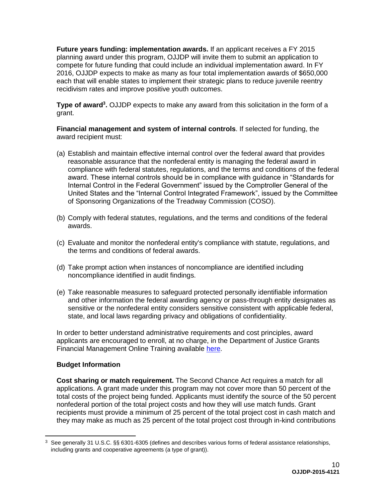**Future years funding: implementation awards.** If an applicant receives a FY 2015 planning award under this program, OJJDP will invite them to submit an application to compete for future funding that could include an individual implementation award. In FY 2016, OJJDP expects to make as many as four total implementation awards of \$650,000 each that will enable states to implement their strategic plans to reduce juvenile reentry recidivism rates and improve positive youth outcomes.

<span id="page-9-0"></span>**Type of award<sup>3</sup> .** OJJDP expects to make any award from this solicitation in the form of a grant.

<span id="page-9-1"></span>**Financial management and system of internal controls**. If selected for funding, the award recipient must:

- (a) Establish and maintain effective internal control over the federal award that provides reasonable assurance that the nonfederal entity is managing the federal award in compliance with federal statutes, regulations, and the terms and conditions of the federal award. These internal controls should be in compliance with guidance in "Standards for Internal Control in the Federal Government" issued by the Comptroller General of the United States and the "Internal Control Integrated Framework", issued by the Committee of Sponsoring Organizations of the Treadway Commission (COSO).
- (b) Comply with federal statutes, regulations, and the terms and conditions of the federal awards.
- (c) Evaluate and monitor the nonfederal entity's compliance with statute, regulations, and the terms and conditions of federal awards.
- (d) Take prompt action when instances of noncompliance are identified including noncompliance identified in audit findings.
- (e) Take reasonable measures to safeguard protected personally identifiable information and other information the federal awarding agency or pass-through entity designates as sensitive or the nonfederal entity considers sensitive consistent with applicable federal, state, and local laws regarding privacy and obligations of confidentiality.

In order to better understand administrative requirements and cost principles, award applicants are encouraged to enroll, at no charge, in the Department of Justice Grants Financial Management Online Training available [here.](http://gfm.webfirst.com/)

# <span id="page-9-2"></span>**Budget Information**

 $\overline{a}$ 

<span id="page-9-3"></span>**Cost sharing or match requirement.** The Second Chance Act requires a match for all applications. A grant made under this program may not cover more than 50 percent of the total costs of the project being funded. Applicants must identify the source of the 50 percent nonfederal portion of the total project costs and how they will use match funds. Grant recipients must provide a minimum of 25 percent of the total project cost in cash match and they may make as much as 25 percent of the total project cost through in-kind contributions

<sup>&</sup>lt;sup>3</sup> See generally 31 U.S.C. §§ 6301-6305 (defines and describes various forms of federal assistance relationships, including grants and cooperative agreements (a type of grant)).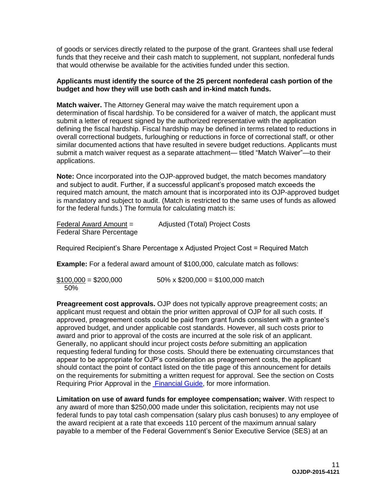of goods or services directly related to the purpose of the grant. Grantees shall use federal funds that they receive and their cash match to supplement, not supplant, nonfederal funds that would otherwise be available for the activities funded under this section.

#### **Applicants must identify the source of the 25 percent nonfederal cash portion of the budget and how they will use both cash and in-kind match funds.**

**Match waiver.** The Attorney General may waive the match requirement upon a determination of fiscal hardship. To be considered for a waiver of match, the applicant must submit a letter of request signed by the authorized representative with the application defining the fiscal hardship. Fiscal hardship may be defined in terms related to reductions in overall correctional budgets, furloughing or reductions in force of correctional staff, or other similar documented actions that have resulted in severe budget reductions. Applicants must submit a match waiver request as a separate attachment— titled "Match Waiver"—to their applications.

**Note:** Once incorporated into the OJP-approved budget, the match becomes mandatory and subject to audit. Further, if a successful applicant's proposed match exceeds the required match amount, the match amount that is incorporated into its OJP-approved budget is mandatory and subject to audit. (Match is restricted to the same uses of funds as allowed for the federal funds.) The formula for calculating match is:

| Federal Award Amount =          | Adjusted (Total) Project Costs |
|---------------------------------|--------------------------------|
| <b>Federal Share Percentage</b> |                                |

Required Recipient's Share Percentage x Adjusted Project Cost = Required Match

**Example:** For a federal award amount of \$100,000, calculate match as follows:

 $$100,000 = $200,000$  50% x \$200,000 = \$100,000 match 50%

<span id="page-10-0"></span>**Preagreement cost approvals.** OJP does not typically approve preagreement costs; an applicant must request and obtain the prior written approval of OJP for all such costs. If approved, preagreement costs could be paid from grant funds consistent with a grantee's approved budget, and under applicable cost standards. However, all such costs prior to award and prior to approval of the costs are incurred at the sole risk of an applicant. Generally, no applicant should incur project costs *before* submitting an application requesting federal funding for those costs. Should there be extenuating circumstances that appear to be appropriate for OJP's consideration as preagreement costs, the applicant should contact the point of contact listed on the title page of this announcement for details on the requirements for submitting a written request for approval. See the section on Costs Requiring Prior Approval in the [Financial Guide,](http://ojp.gov/financialguide/index.htm) for more information.

<span id="page-10-1"></span>**Limitation on use of award funds for employee compensation; waiver**. With respect to any award of more than \$250,000 made under this solicitation, recipients may not use federal funds to pay total cash compensation (salary plus cash bonuses) to any employee of the award recipient at a rate that exceeds 110 percent of the maximum annual salary payable to a member of the Federal Government's Senior Executive Service (SES) at an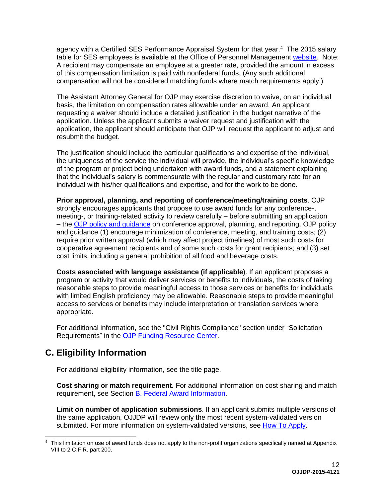agency with a Certified SES Performance Appraisal System for that year.<sup>4</sup> The 2015 salary table for SES employees is available at the Office of Personnel Management [website.](http://www.opm.gov/policy-data-oversight/pay-leave/salaries-wages/salary-tables/15Tables/exec/html/ES.aspx) Note: A recipient may compensate an employee at a greater rate, provided the amount in excess of this compensation limitation is paid with nonfederal funds. (Any such additional compensation will not be considered matching funds where match requirements apply.)

The Assistant Attorney General for OJP may exercise discretion to waive, on an individual basis, the limitation on compensation rates allowable under an award. An applicant requesting a waiver should include a detailed justification in the budget narrative of the application. Unless the applicant submits a waiver request and justification with the application, the applicant should anticipate that OJP will request the applicant to adjust and resubmit the budget.

The justification should include the particular qualifications and expertise of the individual, the uniqueness of the service the individual will provide, the individual's specific knowledge of the program or project being undertaken with award funds, and a statement explaining that the individual's salary is commensurate with the regular and customary rate for an individual with his/her qualifications and expertise, and for the work to be done.

<span id="page-11-1"></span>**Prior approval, planning, and reporting of conference/meeting/training costs**. OJP strongly encourages applicants that propose to use award funds for any conference-, meeting-, or training-related activity to review carefully – before submitting an application – the [OJP policy and guidance](http://ojp.gov/financialguide/PostawardRequirements/chapter15page1.htm) on conference approval, planning, and reporting. OJP policy and guidance (1) encourage minimization of conference, meeting, and training costs; (2) require prior written approval (which may affect project timelines) of most such costs for cooperative agreement recipients and of some such costs for grant recipients; and (3) set cost limits, including a general prohibition of all food and beverage costs.

<span id="page-11-2"></span>**Costs associated with language assistance (if applicable**). If an applicant proposes a program or activity that would deliver services or benefits to individuals, the costs of taking reasonable steps to provide meaningful access to those services or benefits for individuals with limited English proficiency may be allowable. Reasonable steps to provide meaningful access to services or benefits may include interpretation or translation services where appropriate.

For additional information, see the "Civil Rights Compliance" section under "Solicitation Requirements" in the [OJP Funding Resource Center.](http://ojp.gov/funding/index.htm)

# <span id="page-11-0"></span>**C. Eligibility Information**

For additional eligibility information, see the title page.

<span id="page-11-3"></span>**Cost sharing or match requirement.** For additional information on cost sharing and match requirement, see Section [B. Federal Award Information.](#page-8-1)

<span id="page-11-4"></span>**Limit on number of application submissions**. If an applicant submits multiple versions of the same application, OJJDP will review only the most recent system-validated version submitted. For more information on system-validated versions, see [How To Apply.](#page-23-0)

 $\overline{a}$ <sup>4</sup> This limitation on use of award funds does not apply to the non-profit organizations specifically named at Appendix VIII to 2 C.F.R. part 200.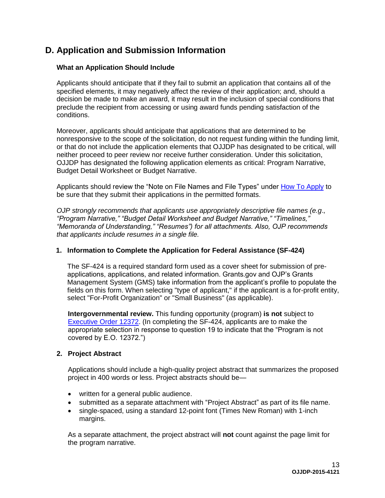# <span id="page-12-0"></span>**D. Application and Submission Information**

### <span id="page-12-1"></span>**What an Application Should Include**

Applicants should anticipate that if they fail to submit an application that contains all of the specified elements, it may negatively affect the review of their application; and, should a decision be made to make an award, it may result in the inclusion of special conditions that preclude the recipient from accessing or using award funds pending satisfaction of the conditions.

Moreover, applicants should anticipate that applications that are determined to be nonresponsive to the scope of the solicitation, do not request funding within the funding limit, or that do not include the application elements that OJJDP has designated to be critical, will neither proceed to peer review nor receive further consideration. Under this solicitation, OJJDP has designated the following application elements as critical: Program Narrative, Budget Detail Worksheet or Budget Narrative.

Applicants should review the "Note on File Names and File Types" under [How To Apply](#page-23-0) to be sure that they submit their applications in the permitted formats.

*OJP strongly recommends that applicants use appropriately descriptive file names (e.g*.*, "Program Narrative," "Budget Detail Worksheet and Budget Narrative," "Timelines," "Memoranda of Understanding," "Resumes") for all attachments. Also, OJP recommends that applicants include resumes in a single file.*

### **1. Information to Complete the Application for Federal Assistance (SF-424)**

The SF-424 is a required standard form used as a cover sheet for submission of preapplications, applications, and related information. Grants.gov and OJP's Grants Management System (GMS) take information from the applicant's profile to populate the fields on this form. When selecting "type of applicant," if the applicant is a for-profit entity, select "For-Profit Organization" or "Small Business" (as applicable).

**Intergovernmental review.** This funding opportunity (program) **is not** subject to [Executive Order 12372.](http://www.archives.gov/federal-register/codification/executive-order/12372.html) (In completing the SF-424, applicants are to make the appropriate selection in response to question 19 to indicate that the "Program is not covered by E.O. 12372.")

### **2. Project Abstract**

Applications should include a high-quality project abstract that summarizes the proposed project in 400 words or less. Project abstracts should be—

- written for a general public audience.
- submitted as a separate attachment with "Project Abstract" as part of its file name.
- single-spaced, using a standard 12-point font (Times New Roman) with 1-inch margins.

As a separate attachment, the project abstract will **not** count against the page limit for the program narrative.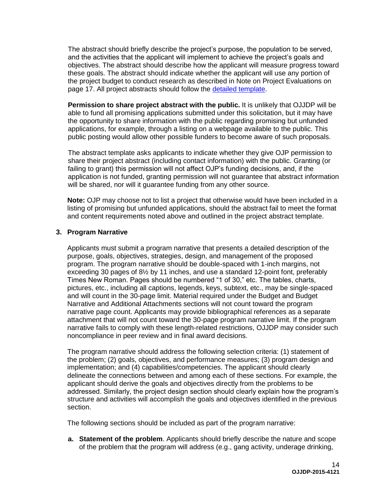The abstract should briefly describe the project's purpose, the population to be served, and the activities that the applicant will implement to achieve the project's goals and objectives. The abstract should describe how the applicant will measure progress toward these goals. The abstract should indicate whether the applicant will use any portion of the project budget to conduct research as described in Note on Project Evaluations on page 17. All project abstracts should follow the [detailed template.](http://ojp.gov/funding/Apply/Resources/ProjectAbstractTemplate.pdf)

**Permission to share project abstract with the public.** It is unlikely that OJJDP will be able to fund all promising applications submitted under this solicitation, but it may have the opportunity to share information with the public regarding promising but unfunded applications, for example, through a listing on a webpage available to the public. This public posting would allow other possible funders to become aware of such proposals.

The abstract template asks applicants to indicate whether they give OJP permission to share their project abstract (including contact information) with the public. Granting (or failing to grant) this permission will not affect OJP's funding decisions, and, if the application is not funded, granting permission will not guarantee that abstract information will be shared, nor will it guarantee funding from any other source.

**Note:** OJP may choose not to list a project that otherwise would have been included in a listing of promising but unfunded applications, should the abstract fail to meet the format and content requirements noted above and outlined in the project abstract template.

# **3. Program Narrative**

Applicants must submit a program narrative that presents a detailed description of the purpose, goals, objectives, strategies, design, and management of the proposed program. The program narrative should be double-spaced with 1-inch margins, not exceeding 30 pages of 8½ by 11 inches, and use a standard 12-point font, preferably Times New Roman. Pages should be numbered "1 of 30," etc. The tables, charts, pictures, etc., including all captions, legends, keys, subtext, etc., may be single-spaced and will count in the 30-page limit. Material required under the Budget and Budget Narrative and Additional Attachments sections will not count toward the program narrative page count. Applicants may provide bibliographical references as a separate attachment that will not count toward the 30-page program narrative limit. If the program narrative fails to comply with these length-related restrictions, OJJDP may consider such noncompliance in peer review and in final award decisions.

The program narrative should address the following selection criteria: (1) statement of the problem; (2) goals, objectives, and performance measures; (3) program design and implementation; and (4) capabilities/competencies. The applicant should clearly delineate the connections between and among each of these sections. For example, the applicant should derive the goals and objectives directly from the problems to be addressed. Similarly, the project design section should clearly explain how the program's structure and activities will accomplish the goals and objectives identified in the previous section.

The following sections should be included as part of the program narrative:

**a. Statement of the problem**. Applicants should briefly describe the nature and scope of the problem that the program will address (e.g., gang activity, underage drinking,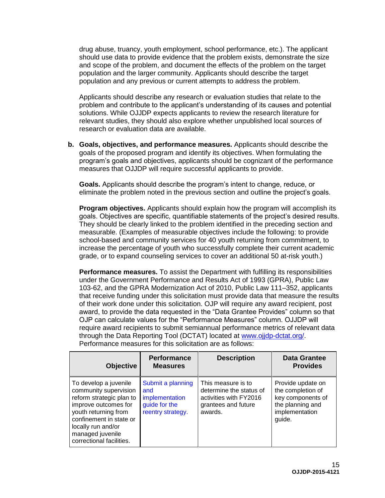drug abuse, truancy, youth employment, school performance, etc.). The applicant should use data to provide evidence that the problem exists, demonstrate the size and scope of the problem, and document the effects of the problem on the target population and the larger community. Applicants should describe the target population and any previous or current attempts to address the problem.

Applicants should describe any research or evaluation studies that relate to the problem and contribute to the applicant's understanding of its causes and potential solutions. While OJJDP expects applicants to review the research literature for relevant studies, they should also explore whether unpublished local sources of research or evaluation data are available.

**b. Goals, objectives, and performance measures.** Applicants should describe the goals of the proposed program and identify its objectives. When formulating the program's goals and objectives, applicants should be cognizant of the performance measures that OJJDP will require successful applicants to provide.

**Goals.** Applicants should describe the program's intent to change, reduce, or eliminate the problem noted in the previous section and outline the project's goals.

**Program objectives.** Applicants should explain how the program will accomplish its goals. Objectives are specific, quantifiable statements of the project's desired results. They should be clearly linked to the problem identified in the preceding section and measurable. (Examples of measurable objectives include the following: to provide school-based and community services for 40 youth returning from commitment, to increase the percentage of youth who successfully complete their current academic grade, or to expand counseling services to cover an additional 50 at-risk youth.)

**Performance measures.** To assist the Department with fulfilling its responsibilities under the Government Performance and Results Act of 1993 (GPRA), Public Law 103-62, and the GPRA Modernization Act of 2010, Public Law 111–352, applicants that receive funding under this solicitation must provide data that measure the results of their work done under this solicitation. OJP will require any award recipient, post award, to provide the data requested in the "Data Grantee Provides" column so that OJP can calculate values for the "Performance Measures" column. OJJDP will require award recipients to submit semiannual performance metrics of relevant data through the Data Reporting Tool (DCTAT) located at [www.ojjdp-dctat.org/.](http://www.ojjdp-dctat.org/) Performance measures for this solicitation are as follows:

| <b>Objective</b>                                                                                                                                                                                                            | <b>Performance</b><br><b>Measures</b>                                            | <b>Description</b>                                                                                        | <b>Data Grantee</b><br><b>Provides</b>                                                                      |
|-----------------------------------------------------------------------------------------------------------------------------------------------------------------------------------------------------------------------------|----------------------------------------------------------------------------------|-----------------------------------------------------------------------------------------------------------|-------------------------------------------------------------------------------------------------------------|
| To develop a juvenile<br>community supervision<br>reform strategic plan to<br>improve outcomes for<br>youth returning from<br>confinement in state or<br>locally run and/or<br>managed juvenile<br>correctional facilities. | Submit a planning<br>and<br>implementation<br>guide for the<br>reentry strategy. | This measure is to<br>determine the status of<br>activities with FY2016<br>grantees and future<br>awards. | Provide update on<br>the completion of<br>key components of<br>the planning and<br>implementation<br>guide. |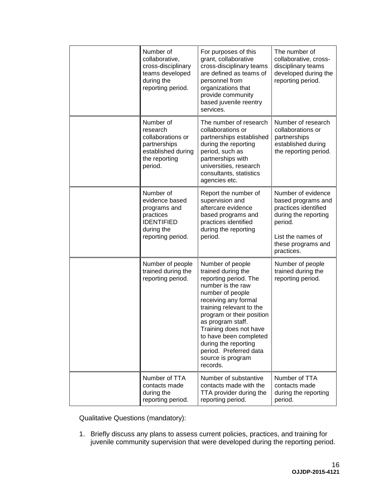| Number of<br>collaborative,<br>cross-disciplinary<br>teams developed<br>during the<br>reporting period.          | For purposes of this<br>grant, collaborative<br>cross-disciplinary teams<br>are defined as teams of<br>personnel from<br>organizations that<br>provide community<br>based juvenile reentry<br>services.                                                                                                                                               | The number of<br>collaborative, cross-<br>disciplinary teams<br>developed during the<br>reporting period.                                                    |
|------------------------------------------------------------------------------------------------------------------|-------------------------------------------------------------------------------------------------------------------------------------------------------------------------------------------------------------------------------------------------------------------------------------------------------------------------------------------------------|--------------------------------------------------------------------------------------------------------------------------------------------------------------|
| Number of<br>research<br>collaborations or<br>partnerships<br>established during<br>the reporting<br>period.     | The number of research<br>collaborations or<br>partnerships established<br>during the reporting<br>period, such as<br>partnerships with<br>universities, research<br>consultants, statistics<br>agencies etc.                                                                                                                                         | Number of research<br>collaborations or<br>partnerships<br>established during<br>the reporting period.                                                       |
| Number of<br>evidence based<br>programs and<br>practices<br><b>IDENTIFIED</b><br>during the<br>reporting period. | Report the number of<br>supervision and<br>aftercare evidence<br>based programs and<br>practices identified<br>during the reporting<br>period.                                                                                                                                                                                                        | Number of evidence<br>based programs and<br>practices identified<br>during the reporting<br>period.<br>List the names of<br>these programs and<br>practices. |
| Number of people<br>trained during the<br>reporting period.                                                      | Number of people<br>trained during the<br>reporting period. The<br>number is the raw<br>number of people<br>receiving any formal<br>training relevant to the<br>program or their position<br>as program staff.<br>Training does not have<br>to have been completed<br>during the reporting<br>period. Preferred data<br>source is program<br>records. | Number of people<br>trained during the<br>reporting period.                                                                                                  |
| Number of TTA<br>contacts made<br>during the<br>reporting period.                                                | Number of substantive<br>contacts made with the<br>TTA provider during the<br>reporting period.                                                                                                                                                                                                                                                       | Number of TTA<br>contacts made<br>during the reporting<br>period.                                                                                            |

Qualitative Questions (mandatory):

1. Briefly discuss any plans to assess current policies, practices, and training for juvenile community supervision that were developed during the reporting period.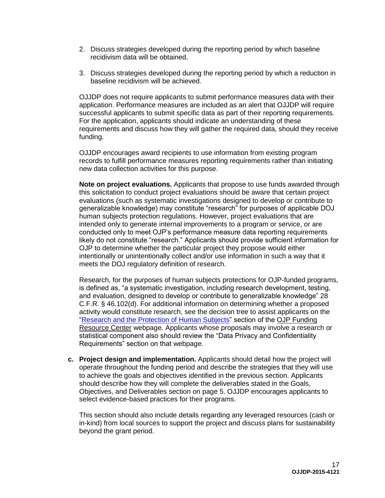- 2. Discuss strategies developed during the reporting period by which baseline recidivism data will be obtained.
- 3. Discuss strategies developed during the reporting period by which a reduction in baseline recidivism will be achieved.

OJJDP does not require applicants to submit performance measures data with their application. Performance measures are included as an alert that OJJDP will require successful applicants to submit specific data as part of their reporting requirements. For the application, applicants should indicate an understanding of these requirements and discuss how they will gather the required data, should they receive funding.

OJJDP encourages award recipients to use information from existing program records to fulfill performance measures reporting requirements rather than initiating new data collection activities for this purpose.

**Note on project evaluations.** Applicants that propose to use funds awarded through this solicitation to conduct project evaluations should be aware that certain project evaluations (such as systematic investigations designed to develop or contribute to generalizable knowledge) may constitute "research" for purposes of applicable DOJ human subjects protection regulations. However, project evaluations that are intended only to generate internal improvements to a program or service, or are conducted only to meet OJP's performance measure data reporting requirements likely do not constitute "research." Applicants should provide sufficient information for OJP to determine whether the particular project they propose would either intentionally or unintentionally collect and/or use information in such a way that it meets the DOJ regulatory definition of research.

Research, for the purposes of human subjects protections for OJP-funded programs, is defined as, "a systematic investigation, including research development, testing, and evaluation, designed to develop or contribute to generalizable knowledge" 28 C.F.R. § 46.102(d). For additional information on determining whether a proposed activity would constitute research, see the decision tree to assist applicants on the ["Research and the Protection of Human Subjects"](http://ojp.gov/funding/Explore/SolicitationRequirements/EvidenceResearchEvaluationRequirements.htm) section of the [OJP Funding](http://ojp.gov/funding/index.htm)  [Resource Center](http://ojp.gov/funding/index.htm) webpage. Applicants whose proposals may involve a research or statistical component also should review the "Data Privacy and Confidentiality Requirements" section on that webpage.

**c. Project design and implementation.** Applicants should detail how the project will operate throughout the funding period and describe the strategies that they will use to achieve the goals and objectives identified in the previous section. Applicants should describe how they will complete the deliverables stated in the Goals, Objectives, and Deliverables section on page 5. OJJDP encourages applicants to select evidence-based practices for their programs.

This section should also include details regarding any leveraged resources (cash or in-kind) from local sources to support the project and discuss plans for sustainability beyond the grant period.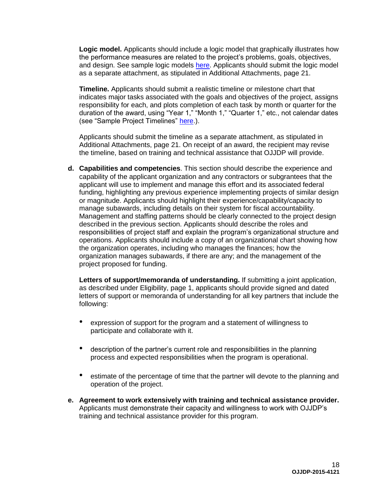**Logic model.** Applicants should include a logic model that graphically illustrates how the performance measures are related to the project's problems, goals, objectives, and design. See sample logic models [here.](http://www.ojjdp.gov/grantees/pm/logic_models.html) Applicants should submit the logic model as a separate attachment, as stipulated in Additional Attachments, page 21.

**Timeline.** Applicants should submit a realistic timeline or milestone chart that indicates major tasks associated with the goals and objectives of the project, assigns responsibility for each, and plots completion of each task by month or quarter for the duration of the award, using "Year 1," "Month 1," "Quarter 1," etc., not calendar dates (see "Sample Project Timelines" [here.](http://www.ojjdp.gov/grantees/timelines.html)).

Applicants should submit the timeline as a separate attachment, as stipulated in Additional Attachments, page 21. On receipt of an award, the recipient may revise the timeline, based on training and technical assistance that OJJDP will provide.

**d. Capabilities and competencies**. This section should describe the experience and capability of the applicant organization and any contractors or subgrantees that the applicant will use to implement and manage this effort and its associated federal funding, highlighting any previous experience implementing projects of similar design or magnitude. Applicants should highlight their experience/capability/capacity to manage subawards, including details on their system for fiscal accountability. Management and staffing patterns should be clearly connected to the project design described in the previous section. Applicants should describe the roles and responsibilities of project staff and explain the program's organizational structure and operations. Applicants should include a copy of an organizational chart showing how the organization operates, including who manages the finances; how the organization manages subawards, if there are any; and the management of the project proposed for funding.

**Letters of support/memoranda of understanding.** If submitting a joint application, as described under Eligibility, page 1, applicants should provide signed and dated letters of support or memoranda of understanding for all key partners that include the following:

- expression of support for the program and a statement of willingness to participate and collaborate with it.
- description of the partner's current role and responsibilities in the planning process and expected responsibilities when the program is operational.
- estimate of the percentage of time that the partner will devote to the planning and operation of the project.
- **e. Agreement to work extensively with training and technical assistance provider.**  Applicants must demonstrate their capacity and willingness to work with OJJDP's training and technical assistance provider for this program.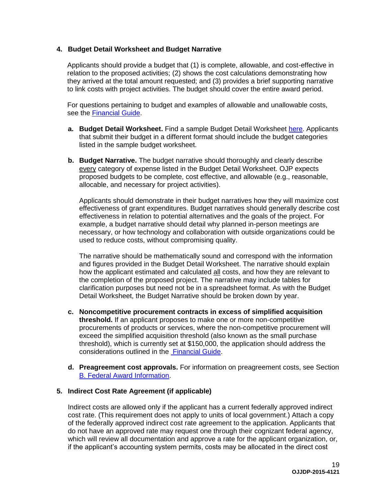### **4. Budget Detail Worksheet and Budget Narrative**

Applicants should provide a budget that (1) is complete, allowable, and cost-effective in relation to the proposed activities; (2) shows the cost calculations demonstrating how they arrived at the total amount requested; and (3) provides a brief supporting narrative to link costs with project activities. The budget should cover the entire award period.

For questions pertaining to budget and examples of allowable and unallowable costs, see the [Financial Guide.](http://ojp.gov/financialguide/index.htm)

- **a. Budget Detail Worksheet.** Find a sample Budget Detail Worksheet [here.](http://ojp.gov/funding/Apply/Resources/BudgetDetailWorksheet.pdf) Applicants that submit their budget in a different format should include the budget categories listed in the sample budget worksheet.
- **b. Budget Narrative.** The budget narrative should thoroughly and clearly describe every category of expense listed in the Budget Detail Worksheet. OJP expects proposed budgets to be complete, cost effective, and allowable (e.g., reasonable, allocable, and necessary for project activities).

Applicants should demonstrate in their budget narratives how they will maximize cost effectiveness of grant expenditures. Budget narratives should generally describe cost effectiveness in relation to potential alternatives and the goals of the project. For example, a budget narrative should detail why planned in-person meetings are necessary, or how technology and collaboration with outside organizations could be used to reduce costs, without compromising quality.

The narrative should be mathematically sound and correspond with the information and figures provided in the Budget Detail Worksheet. The narrative should explain how the applicant estimated and calculated all costs, and how they are relevant to the completion of the proposed project. The narrative may include tables for clarification purposes but need not be in a spreadsheet format. As with the Budget Detail Worksheet, the Budget Narrative should be broken down by year.

- **c. Noncompetitive procurement contracts in excess of simplified acquisition threshold.** If an applicant proposes to make one or more non-competitive procurements of products or services, where the non-competitive procurement will exceed the simplified acquisition threshold (also known as the small purchase threshold), which is currently set at \$150,000, the application should address the considerations outlined in the [Financial Guide.](http://ojp.gov/financialguide/index.htm)
- **d. Preagreement cost approvals.** For information on preagreement costs, see Section [B. Federal Award Information.](#page-8-1)

### **5. Indirect Cost Rate Agreement (if applicable)**

Indirect costs are allowed only if the applicant has a current federally approved indirect cost rate. (This requirement does not apply to units of local government.) Attach a copy of the federally approved indirect cost rate agreement to the application. Applicants that do not have an approved rate may request one through their cognizant federal agency, which will review all documentation and approve a rate for the applicant organization, or, if the applicant's accounting system permits, costs may be allocated in the direct cost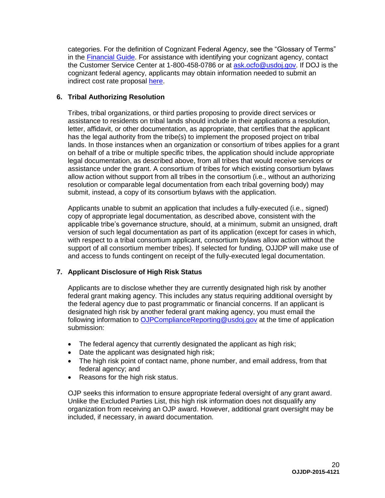categories. For the definition of Cognizant Federal Agency, see the "Glossary of Terms" in the [Financial Guide.](http://ojp.gov/financialguide/index.htm) For assistance with identifying your cognizant agency, contact the Customer Service Center at 1-800-458-0786 or at [ask.ocfo@usdoj.gov.](mailto:ask.ocfo@usdoj.gov) If DOJ is the cognizant federal agency, applicants may obtain information needed to submit an indirect cost rate proposal [here.](http://ojp.gov/funding/Apply/Resources/IndirectCosts.pdf)

# **6. Tribal Authorizing Resolution**

Tribes, tribal organizations, or third parties proposing to provide direct services or assistance to residents on tribal lands should include in their applications a resolution, letter, affidavit, or other documentation, as appropriate, that certifies that the applicant has the legal authority from the tribe(s) to implement the proposed project on tribal lands. In those instances when an organization or consortium of tribes applies for a grant on behalf of a tribe or multiple specific tribes, the application should include appropriate legal documentation, as described above, from all tribes that would receive services or assistance under the grant. A consortium of tribes for which existing consortium bylaws allow action without support from all tribes in the consortium (i.e., without an authorizing resolution or comparable legal documentation from each tribal governing body) may submit, instead, a copy of its consortium bylaws with the application.

Applicants unable to submit an application that includes a fully-executed (i.e., signed) copy of appropriate legal documentation, as described above, consistent with the applicable tribe's governance structure, should, at a minimum, submit an unsigned, draft version of such legal documentation as part of its application (except for cases in which, with respect to a tribal consortium applicant, consortium bylaws allow action without the support of all consortium member tribes). If selected for funding, OJJDP will make use of and access to funds contingent on receipt of the fully-executed legal documentation.

# **7. Applicant Disclosure of High Risk Status**

Applicants are to disclose whether they are currently designated high risk by another federal grant making agency. This includes any status requiring additional oversight by the federal agency due to past programmatic or financial concerns. If an applicant is designated high risk by another federal grant making agency, you must email the following information to [OJPComplianceReporting@usdoj.gov](mailto:OJPComplianceReporting@usdoj.gov) at the time of application submission:

- The federal agency that currently designated the applicant as high risk;
- Date the applicant was designated high risk;
- The high risk point of contact name, phone number, and email address, from that federal agency; and
- Reasons for the high risk status.

OJP seeks this information to ensure appropriate federal oversight of any grant award. Unlike the Excluded Parties List, this high risk information does not disqualify any organization from receiving an OJP award. However, additional grant oversight may be included, if necessary, in award documentation.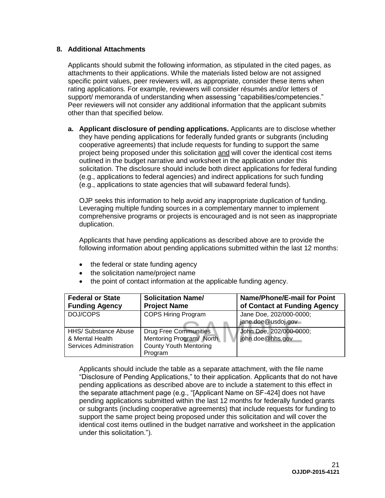# **8. Additional Attachments**

Applicants should submit the following information, as stipulated in the cited pages, as attachments to their applications. While the materials listed below are not assigned specific point values, peer reviewers will, as appropriate, consider these items when rating applications. For example, reviewers will consider résumés and/or letters of support/ memoranda of understanding when assessing "capabilities/competencies." Peer reviewers will not consider any additional information that the applicant submits other than that specified below.

**a. Applicant disclosure of pending applications.** Applicants are to disclose whether they have pending applications for federally funded grants or subgrants (including cooperative agreements) that include requests for funding to support the same project being proposed under this solicitation and will cover the identical cost items outlined in the budget narrative and worksheet in the application under this solicitation. The disclosure should include both direct applications for federal funding (e.g., applications to federal agencies) and indirect applications for such funding (e.g., applications to state agencies that will subaward federal funds).

OJP seeks this information to help avoid any inappropriate duplication of funding. Leveraging multiple funding sources in a complementary manner to implement comprehensive programs or projects is encouraged and is not seen as inappropriate duplication.

Applicants that have pending applications as described above are to provide the following information about pending applications submitted within the last 12 months:

- the federal or state funding agency
- the solicitation name/project name
- the point of contact information at the applicable funding agency.

| <b>Federal or State</b>     | <b>Solicitation Name/</b>     | Name/Phone/E-mail for Point  |
|-----------------------------|-------------------------------|------------------------------|
| <b>Funding Agency</b>       | <b>Project Name</b>           | of Contact at Funding Agency |
| DOJ/COPS                    | <b>COPS Hiring Program</b>    | Jane Doe, 202/000-0000;      |
|                             |                               | jane.doe@usdoj.gov           |
| <b>HHS/ Substance Abuse</b> | <b>Drug Free Communities</b>  | John Doe, 202/000-0000;      |
| & Mental Health             | Mentoring Program/ North      | john.doe@hhs.gov             |
| Services Administration     | <b>County Youth Mentoring</b> |                              |
|                             | Program                       |                              |

Applicants should include the table as a separate attachment, with the file name "Disclosure of Pending Applications," to their application. Applicants that do not have pending applications as described above are to include a statement to this effect in the separate attachment page (e.g., "[Applicant Name on SF-424] does not have pending applications submitted within the last 12 months for federally funded grants or subgrants (including cooperative agreements) that include requests for funding to support the same project being proposed under this solicitation and will cover the identical cost items outlined in the budget narrative and worksheet in the application under this solicitation.").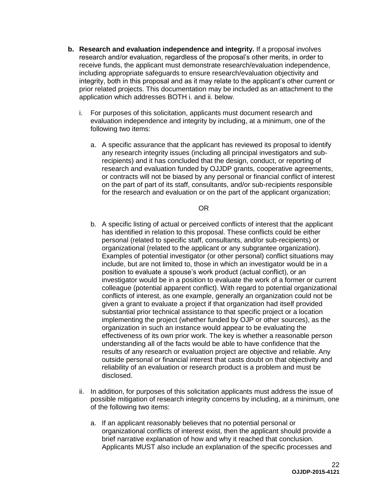- **b. Research and evaluation independence and integrity.** If a proposal involves research and/or evaluation, regardless of the proposal's other merits, in order to receive funds, the applicant must demonstrate research/evaluation independence, including appropriate safeguards to ensure research/evaluation objectivity and integrity, both in this proposal and as it may relate to the applicant's other current or prior related projects. This documentation may be included as an attachment to the application which addresses BOTH i. and ii. below.
	- i. For purposes of this solicitation, applicants must document research and evaluation independence and integrity by including, at a minimum, one of the following two items:
		- a. A specific assurance that the applicant has reviewed its proposal to identify any research integrity issues (including all principal investigators and subrecipients) and it has concluded that the design, conduct, or reporting of research and evaluation funded by OJJDP grants, cooperative agreements, or contracts will not be biased by any personal or financial conflict of interest on the part of part of its staff, consultants, and/or sub-recipients responsible for the research and evaluation or on the part of the applicant organization;

#### OR

- b. A specific listing of actual or perceived conflicts of interest that the applicant has identified in relation to this proposal. These conflicts could be either personal (related to specific staff, consultants, and/or sub-recipients) or organizational (related to the applicant or any subgrantee organization). Examples of potential investigator (or other personal) conflict situations may include, but are not limited to, those in which an investigator would be in a position to evaluate a spouse's work product (actual conflict), or an investigator would be in a position to evaluate the work of a former or current colleague (potential apparent conflict). With regard to potential organizational conflicts of interest, as one example, generally an organization could not be given a grant to evaluate a project if that organization had itself provided substantial prior technical assistance to that specific project or a location implementing the project (whether funded by OJP or other sources), as the organization in such an instance would appear to be evaluating the effectiveness of its own prior work. The key is whether a reasonable person understanding all of the facts would be able to have confidence that the results of any research or evaluation project are objective and reliable. Any outside personal or financial interest that casts doubt on that objectivity and reliability of an evaluation or research product is a problem and must be disclosed.
- ii. In addition, for purposes of this solicitation applicants must address the issue of possible mitigation of research integrity concerns by including, at a minimum, one of the following two items:
	- a. If an applicant reasonably believes that no potential personal or organizational conflicts of interest exist, then the applicant should provide a brief narrative explanation of how and why it reached that conclusion. Applicants MUST also include an explanation of the specific processes and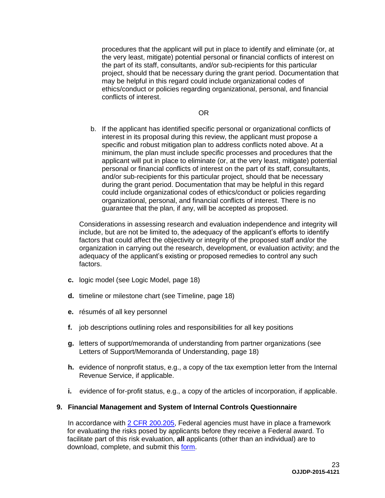procedures that the applicant will put in place to identify and eliminate (or, at the very least, mitigate) potential personal or financial conflicts of interest on the part of its staff, consultants, and/or sub-recipients for this particular project, should that be necessary during the grant period. Documentation that may be helpful in this regard could include organizational codes of ethics/conduct or policies regarding organizational, personal, and financial conflicts of interest.

#### OR

b. If the applicant has identified specific personal or organizational conflicts of interest in its proposal during this review, the applicant must propose a specific and robust mitigation plan to address conflicts noted above. At a minimum, the plan must include specific processes and procedures that the applicant will put in place to eliminate (or, at the very least, mitigate) potential personal or financial conflicts of interest on the part of its staff, consultants, and/or sub-recipients for this particular project, should that be necessary during the grant period. Documentation that may be helpful in this regard could include organizational codes of ethics/conduct or policies regarding organizational, personal, and financial conflicts of interest. There is no guarantee that the plan, if any, will be accepted as proposed.

Considerations in assessing research and evaluation independence and integrity will include, but are not be limited to, the adequacy of the applicant's efforts to identify factors that could affect the objectivity or integrity of the proposed staff and/or the organization in carrying out the research, development, or evaluation activity; and the adequacy of the applicant's existing or proposed remedies to control any such factors.

- **c.** logic model (see Logic Model, page 18)
- **d.** timeline or milestone chart (see Timeline, page 18)
- **e.** résumés of all key personnel
- **f.** job descriptions outlining roles and responsibilities for all key positions
- **g.** letters of support/memoranda of understanding from partner organizations (see Letters of Support/Memoranda of Understanding, page 18)
- **h.** evidence of nonprofit status, e.g., a copy of the tax exemption letter from the Internal Revenue Service, if applicable.
- **i.** evidence of for-profit status, e.g., a copy of the articles of incorporation, if applicable.

### **9. Financial Management and System of Internal Controls Questionnaire**

In accordance with [2 CFR 200.205,](http://www.ecfr.gov/cgi-bin/text-idx?SID=2ebfb13012953333f32ed4cf1411e33e&node=pt2.1.200&rgn=div5#se2.1.200_1205) Federal agencies must have in place a framework for evaluating the risks posed by applicants before they receive a Federal award. To facilitate part of this risk evaluation, **all** applicants (other than an individual) are to download, complete, and submit this [form.](http://ojp.gov/funding/Apply/Resources/FinancialCapability.pdf)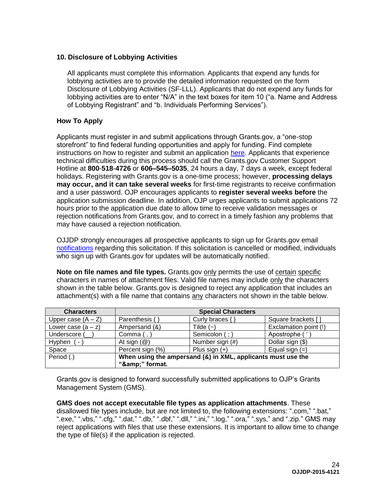# **10. Disclosure of Lobbying Activities**

All applicants must complete this information. Applicants that expend any funds for lobbying activities are to provide the detailed information requested on the form Disclosure of Lobbying Activities (SF-LLL). Applicants that do not expend any funds for lobbying activities are to enter "N/A" in the text boxes for item 10 ("a. Name and Address of Lobbying Registrant" and "b. Individuals Performing Services").

# <span id="page-23-1"></span><span id="page-23-0"></span>**How To Apply**

Applicants must register in and submit applications through Grants.gov, a "one-stop storefront" to find federal funding opportunities and apply for funding. Find complete instructions on how to register and submit an application [here.](http://www.grants.gov/web/grants/home.html) Applicants that experience technical difficulties during this process should call the Grants.gov Customer Support Hotline at **800**-**518**-**4726** or **606–545–5035**, 24 hours a day, 7 days a week, except federal holidays. Registering with Grants.gov is a one-time process; however, **processing delays may occur, and it can take several weeks** for first-time registrants to receive confirmation and a user password. OJP encourages applicants to **register several weeks before** the application submission deadline. In addition, OJP urges applicants to submit applications 72 hours prior to the application due date to allow time to receive validation messages or rejection notifications from Grants.gov, and to correct in a timely fashion any problems that may have caused a rejection notification.

OJJDP strongly encourages all prospective applicants to sign up for Grants.gov email [notifications](http://www.grants.gov/web/grants/manage-subscriptions.html) regarding this solicitation. If this solicitation is cancelled or modified, individuals who sign up with Grants.gov for updates will be automatically notified.

**Note on file names and file types.** Grants.gov only permits the use of certain specific characters in names of attachment files. Valid file names may include only the characters shown in the table below. Grants.gov is designed to reject any application that includes an attachment(s) with a file name that contains any characters not shown in the table below.

| <b>Characters</b>    |                                                                             | <b>Special Characters</b> |                       |
|----------------------|-----------------------------------------------------------------------------|---------------------------|-----------------------|
| Upper case $(A - Z)$ | Parenthesis (                                                               | Curly braces $\{\}$       | Square brackets []    |
| Lower case $(a - z)$ | Ampersand (&)                                                               | Tilde $(-)$               | Exclamation point (!) |
| Underscore (         | Comma $($ , $)$                                                             | Semicolon (; )            | Apostrophe ('         |
| Hyphen<br>$\sim$     | At sign $(\mathcal{Q})$                                                     | Number sign (#)           | Dollar sign (\$)      |
| Space                | Percent sign (%)                                                            | Plus sign $(+)$           | Equal sign $(=)$      |
| Period (.)           | When using the ampersand (&) in XML, applicants must use the<br>"&" format. |                           |                       |

Grants.gov is designed to forward successfully submitted applications to OJP's Grants Management System (GMS).

**GMS does not accept executable file types as application attachments**. These disallowed file types include, but are not limited to, the following extensions: ".com," ".bat," ".exe," ".vbs," ".cfg," ".dat," ".db," ".dbf," ".dll," ".ini," ".log," ".ora," ".sys," and ".zip." GMS may reject applications with files that use these extensions. It is important to allow time to change the type of file(s) if the application is rejected.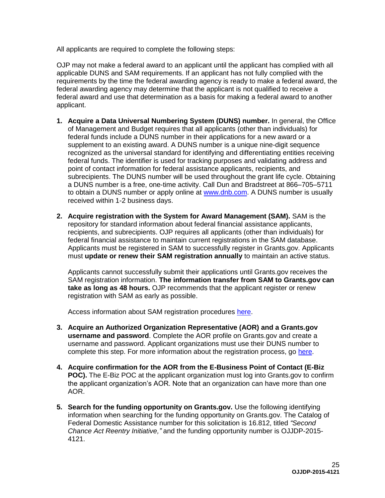All applicants are required to complete the following steps:

OJP may not make a federal award to an applicant until the applicant has complied with all applicable DUNS and SAM requirements. If an applicant has not fully complied with the requirements by the time the federal awarding agency is ready to make a federal award, the federal awarding agency may determine that the applicant is not qualified to receive a federal award and use that determination as a basis for making a federal award to another applicant.

- **1. Acquire a Data Universal Numbering System (DUNS) number.** In general, the Office of Management and Budget requires that all applicants (other than individuals) for federal funds include a DUNS number in their applications for a new award or a supplement to an existing award. A DUNS number is a unique nine-digit sequence recognized as the universal standard for identifying and differentiating entities receiving federal funds. The identifier is used for tracking purposes and validating address and point of contact information for federal assistance applicants, recipients, and subrecipients. The DUNS number will be used throughout the grant life cycle. Obtaining a DUNS number is a free, one-time activity. Call Dun and Bradstreet at 866–705–5711 to obtain a DUNS number or apply online at [www.dnb.com.](http://www.dnb.com/) A DUNS number is usually received within 1-2 business days.
- **2. Acquire registration with the System for Award Management (SAM).** SAM is the repository for standard information about federal financial assistance applicants, recipients, and subrecipients. OJP requires all applicants (other than individuals) for federal financial assistance to maintain current registrations in the SAM database. Applicants must be registered in SAM to successfully register in Grants.gov. Applicants must **update or renew their SAM registration annually** to maintain an active status.

Applicants cannot successfully submit their applications until Grants.gov receives the SAM registration information. **The information transfer from SAM to Grants.gov can take as long as 48 hours.** OJP recommends that the applicant register or renew registration with SAM as early as possible.

Access information about SAM registration procedures [here.](http://www.sam.gov/)

- **3. Acquire an Authorized Organization Representative (AOR) and a Grants.gov username and password**. Complete the AOR profile on Grants.gov and create a username and password. Applicant organizations must use their DUNS number to complete this step. For more information about the registration process, go [here.](http://www.grants.gov/web/grants/register.html)
- **4. Acquire confirmation for the AOR from the E-Business Point of Contact (E-Biz POC).** The E-Biz POC at the applicant organization must log into Grants.gov to confirm the applicant organization's AOR. Note that an organization can have more than one AOR.
- **5. Search for the funding opportunity on Grants.gov.** Use the following identifying information when searching for the funding opportunity on Grants.gov. The Catalog of Federal Domestic Assistance number for this solicitation is 16.812, titled *"Second Chance Act Reentry Initiative,"* and the funding opportunity number is OJJDP-2015- 4121.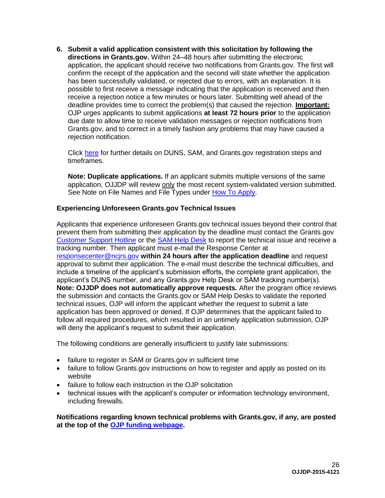**6. Submit a valid application consistent with this solicitation by following the directions in Grants.gov.** Within 24–48 hours after submitting the electronic application, the applicant should receive two notifications from Grants.gov. The first will confirm the receipt of the application and the second will state whether the application has been successfully validated, or rejected due to errors, with an explanation. It is possible to first receive a message indicating that the application is received and then receive a rejection notice a few minutes or hours later. Submitting well ahead of the deadline provides time to correct the problem(s) that caused the rejection. **Important:** OJP urges applicants to submit applications **at least 72 hours prior** to the application due date to allow time to receive validation messages or rejection notifications from Grants.gov, and to correct in a timely fashion any problems that may have caused a rejection notification.

Click [here](http://www.grants.gov/web/grants/applicants/organization-registration.html) for further details on DUNS, SAM, and Grants.gov registration steps and timeframes.

**Note: Duplicate applications.** If an applicant submits multiple versions of the same application, OJJDP will review only the most recent system-validated version submitted. See Note on File Names and File Types under [How To Apply.](#page-23-0)

### **Experiencing Unforeseen Grants.gov Technical Issues**

Applicants that experience unforeseen Grants.gov technical issues beyond their control that prevent them from submitting their application by the deadline must contact the Grants.gov [Customer Support Hotline](http://www.grants.gov/web/grants/about/contact-us.html) or the [SAM Help Desk](https://www.fsd.gov/fsd-gov/home.do) to report the technical issue and receive a tracking number. Then applicant must e-mail the Response Center at [responsecenter@ncjrs.gov](mailto:responsecenter@ncjrs.gov) **within 24 hours after the application deadline** and request approval to submit their application. The e-mail must describe the technical difficulties, and include a timeline of the applicant's submission efforts, the complete grant application, the applicant's DUNS number, and any Grants.gov Help Desk or SAM tracking number(s). **Note: OJJDP does not automatically approve requests***.* After the program office reviews the submission and contacts the Grants.gov or SAM Help Desks to validate the reported technical issues, OJP will inform the applicant whether the request to submit a late application has been approved or denied. If OJP determines that the applicant failed to follow all required procedures, which resulted in an untimely application submission, OJP will deny the applicant's request to submit their application.

The following conditions are generally insufficient to justify late submissions:

- failure to register in SAM or Grants.gov in sufficient time
- failure to follow Grants.gov instructions on how to register and apply as posted on its website
- failure to follow each instruction in the OJP solicitation
- technical issues with the applicant's computer or information technology environment, including firewalls.

<span id="page-25-0"></span>**Notifications regarding known technical problems with Grants.gov, if any, are posted at the top of the [OJP funding webpage.](http://www.ojp.gov/funding/Explore/CurrentFundingOpportunities.htm.)**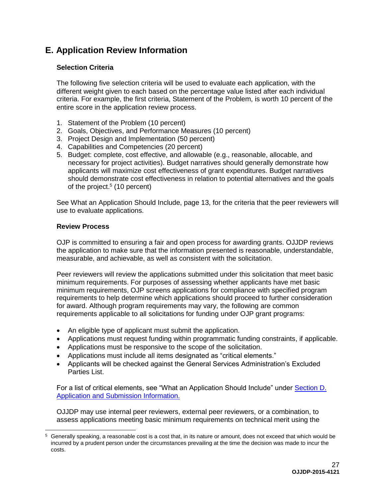# **E. Application Review Information**

# <span id="page-26-0"></span>**Selection Criteria**

The following five selection criteria will be used to evaluate each application, with the different weight given to each based on the percentage value listed after each individual criteria. For example, the first criteria, Statement of the Problem, is worth 10 percent of the entire score in the application review process.

- 1. Statement of the Problem (10 percent)
- 2. Goals, Objectives, and Performance Measures (10 percent)
- 3. Project Design and Implementation (50 percent)
- 4. Capabilities and Competencies (20 percent)
- 5. Budget: complete, cost effective, and allowable (e.g., reasonable, allocable, and necessary for project activities). Budget narratives should generally demonstrate how applicants will maximize cost effectiveness of grant expenditures. Budget narratives should demonstrate cost effectiveness in relation to potential alternatives and the goals of the project. 5 (10 percent)

See What an Application Should Include, page 13, for the criteria that the peer reviewers will use to evaluate applications.

# <span id="page-26-1"></span>**Review Process**

OJP is committed to ensuring a fair and open process for awarding grants. OJJDP reviews the application to make sure that the information presented is reasonable, understandable, measurable, and achievable, as well as consistent with the solicitation.

Peer reviewers will review the applications submitted under this solicitation that meet basic minimum requirements. For purposes of assessing whether applicants have met basic minimum requirements, OJP screens applications for compliance with specified program requirements to help determine which applications should proceed to further consideration for award. Although program requirements may vary, the following are common requirements applicable to all solicitations for funding under OJP grant programs:

- An eligible type of applicant must submit the application.
- Applications must request funding within programmatic funding constraints, if applicable.
- Applications must be responsive to the scope of the solicitation.
- Applications must include all items designated as "critical elements."
- Applicants will be checked against the General Services Administration's Excluded Parties List.

For a list of critical elements, see "What an Application Should Include" under Section D. Application and Submission Information.

OJJDP may use internal peer reviewers, external peer reviewers, or a combination, to assess applications meeting basic minimum requirements on technical merit using the

<sup>5</sup> Generally speaking, a reasonable cost is a cost that, in its nature or amount, does not exceed that which would be incurred by a prudent person under the circumstances prevailing at the time the decision was made to incur the costs.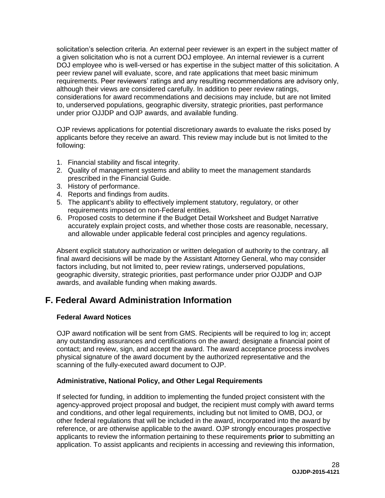solicitation's selection criteria. An external peer reviewer is an expert in the subject matter of a given solicitation who is not a current DOJ employee. An internal reviewer is a current DOJ employee who is well-versed or has expertise in the subject matter of this solicitation. A peer review panel will evaluate, score, and rate applications that meet basic minimum requirements. Peer reviewers' ratings and any resulting recommendations are advisory only, although their views are considered carefully. In addition to peer review ratings, considerations for award recommendations and decisions may include, but are not limited to, underserved populations, geographic diversity, strategic priorities, past performance under prior OJJDP and OJP awards, and available funding.

OJP reviews applications for potential discretionary awards to evaluate the risks posed by applicants before they receive an award. This review may include but is not limited to the following:

- 1. Financial stability and fiscal integrity.
- 2. Quality of management systems and ability to meet the management standards prescribed in the Financial Guide.
- 3. History of performance.
- 4. Reports and findings from audits.
- 5. The applicant's ability to effectively implement statutory, regulatory, or other requirements imposed on non-Federal entities.
- 6. Proposed costs to determine if the Budget Detail Worksheet and Budget Narrative accurately explain project costs, and whether those costs are reasonable, necessary, and allowable under applicable federal cost principles and agency regulations.

Absent explicit statutory authorization or written delegation of authority to the contrary, all final award decisions will be made by the Assistant Attorney General, who may consider factors including, but not limited to, peer review ratings, underserved populations, geographic diversity, strategic priorities, past performance under prior OJJDP and OJP awards, and available funding when making awards.

# <span id="page-27-0"></span>**F. Federal Award Administration Information**

### <span id="page-27-1"></span>**Federal Award Notices**

OJP award notification will be sent from GMS. Recipients will be required to log in; accept any outstanding assurances and certifications on the award; designate a financial point of contact; and review, sign, and accept the award. The award acceptance process involves physical signature of the award document by the authorized representative and the scanning of the fully-executed award document to OJP.

# <span id="page-27-2"></span>**Administrative, National Policy, and Other Legal Requirements**

If selected for funding, in addition to implementing the funded project consistent with the agency-approved project proposal and budget, the recipient must comply with award terms and conditions, and other legal requirements, including but not limited to OMB, DOJ, or other federal regulations that will be included in the award, incorporated into the award by reference, or are otherwise applicable to the award. OJP strongly encourages prospective applicants to review the information pertaining to these requirements **prior** to submitting an application. To assist applicants and recipients in accessing and reviewing this information,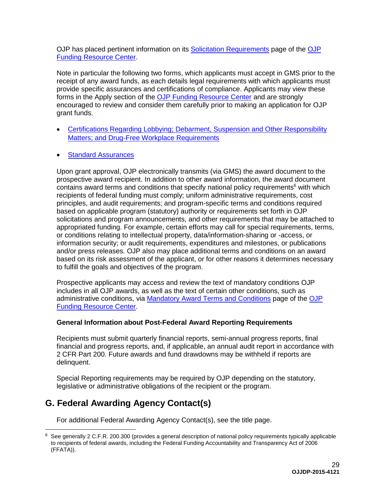OJP has placed pertinent information on its [Solicitation Requirements](http://ojp.gov/funding/Explore/SolicitationRequirements/index.htm) page of the [OJP](http://ojp.gov/funding/index.htm) [Funding Resource Center.](http://ojp.gov/funding/index.htm)

Note in particular the following two forms, which applicants must accept in GMS prior to the receipt of any award funds, as each details legal requirements with which applicants must provide specific assurances and certifications of compliance. Applicants may view these forms in the Apply section of the [OJP Funding Resource Center](http://ojp.gov/funding/index.htm) and are strongly encouraged to review and consider them carefully prior to making an application for OJP grant funds.

- [Certifications Regarding Lobbying; Debarment, Suspension and Other Responsibility](http://ojp.gov/funding/Apply/Forms.htm)  [Matters; and Drug-Free Workplace Requirements](http://ojp.gov/funding/Apply/Forms.htm)
- [Standard Assurances](http://ojp.gov/funding/Apply/Forms.htm)

Upon grant approval, OJP electronically transmits (via GMS) the award document to the prospective award recipient. In addition to other award information, the award document contains award terms and conditions that specify national policy requirements<sup>6</sup> with which recipients of federal funding must comply; uniform administrative requirements, cost principles, and audit requirements; and program-specific terms and conditions required based on applicable program (statutory) authority or requirements set forth in OJP solicitations and program announcements, and other requirements that may be attached to appropriated funding. For example, certain efforts may call for special requirements, terms, or conditions relating to intellectual property, data/information-sharing or -access, or information security; or audit requirements, expenditures and milestones, or publications and/or press releases. OJP also may place additional terms and conditions on an award based on its risk assessment of the applicant, or for other reasons it determines necessary to fulfill the goals and objectives of the program.

Prospective applicants may access and review the text of mandatory conditions OJP includes in all OJP awards, as well as the text of certain other conditions, such as administrative conditions, via [Mandatory Award Terms and Conditions](http://ojp.gov/funding/Explore/SolicitationRequirements/MandatoryTermsConditions.htm) page of the [OJP](http://ojp.gov/funding/index.htm) [Funding Resource Center.](http://ojp.gov/funding/index.htm)

# <span id="page-28-0"></span>**General Information about Post-Federal Award Reporting Requirements**

Recipients must submit quarterly financial reports, semi-annual progress reports, final financial and progress reports, and, if applicable, an annual audit report in accordance with 2 CFR Part 200. Future awards and fund drawdowns may be withheld if reports are delinquent.

Special Reporting requirements may be required by OJP depending on the statutory, legislative or administrative obligations of the recipient or the program.

# <span id="page-28-1"></span>**G. Federal Awarding Agency Contact(s)**

 $\overline{a}$ 

For additional Federal Awarding Agency Contact(s), see the title page.

<sup>6</sup> See generally 2 C.F.R. 200.300 (provides a general description of national policy requirements typically applicable to recipients of federal awards, including the Federal Funding Accountability and Transparency Act of 2006 (FFATA)).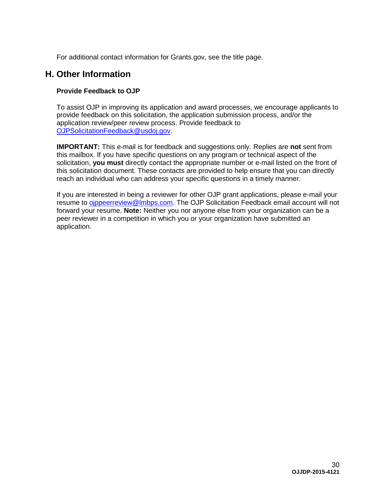For additional contact information for Grants.gov, see the title page.

# <span id="page-29-0"></span>**H. Other Information**

# <span id="page-29-1"></span>**Provide Feedback to OJP**

To assist OJP in improving its application and award processes, we encourage applicants to provide feedback on this solicitation, the application submission process, and/or the application review/peer review process. Provide feedback to [OJPSolicitationFeedback@usdoj.gov.](mailto:OJPSolicitationFeedback@usdoj.gov)

**IMPORTANT:** This e-mail is for feedback and suggestions only. Replies are **not** sent from this mailbox. If you have specific questions on any program or technical aspect of the solicitation, **you must** directly contact the appropriate number or e-mail listed on the front of this solicitation document. These contacts are provided to help ensure that you can directly reach an individual who can address your specific questions in a timely manner.

If you are interested in being a reviewer for other OJP grant applications, please e-mail your resume to [ojppeerreview@lmbps.com.](mailto:ojppeerreview@lmbps.com) The OJP Solicitation Feedback email account will not forward your resume. **Note:** Neither you nor anyone else from your organization can be a peer reviewer in a competition in which you or your organization have submitted an application.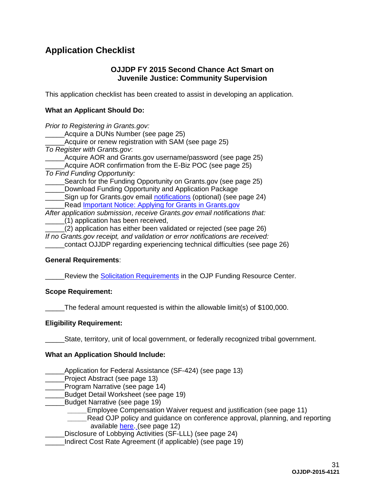# <span id="page-30-0"></span>**Application Checklist**

# **OJJDP FY 2015 Second Chance Act Smart on Juvenile Justice: Community Supervision**

This application checklist has been created to assist in developing an application.

# **What an Applicant Should Do:**

| Prior to Registering in Grants.gov:                                           |
|-------------------------------------------------------------------------------|
| Acquire a DUNs Number (see page 25)                                           |
| Acquire or renew registration with SAM (see page 25)                          |
| To Register with Grants.gov.                                                  |
| Acquire AOR and Grants.gov username/password (see page 25)                    |
| Acquire AOR confirmation from the E-Biz POC (see page 25)                     |
| To Find Funding Opportunity:                                                  |
| Search for the Funding Opportunity on Grants.gov (see page 25)                |
| Download Funding Opportunity and Application Package                          |
| Sign up for Grants.gov email notifications (optional) (see page 24)           |
| Read <b>Important Notice: Applying for Grants in Grants.gov</b>               |
| After application submission, receive Grants.gov email notifications that:    |
| (1) application has been received,                                            |
| (2) application has either been validated or rejected (see page 26)           |
| If no Grants.gov receipt, and validation or error notifications are received: |

\_\_\_\_\_contact OJJDP regarding experiencing technical difficulties (see page 26)

### **General Requirements**:

Review the [Solicitation Requirements](http://ojp.gov/funding/Explore/SolicitationRequirements/index.htm) in the OJP Funding Resource Center.

#### **Scope Requirement:**

\_\_\_\_\_The federal amount requested is within the allowable limit(s) of \$100,000.

### **Eligibility Requirement:**

\_\_\_\_\_State, territory, unit of local government, or federally recognized tribal government.

#### **What an Application Should Include:**

Application for Federal Assistance (SF-424) (see page 13)

Project Abstract (see page 13)

\_\_\_\_\_Program Narrative (see page 14)

\_\_\_\_\_Budget Detail Worksheet (see page 19)

- Budget Narrative (see page 19)
	- Employee Compensation Waiver request and justification (see page 11)
	- Read OJP policy and guidance on conference approval, planning, and reporting available [here.](http://ojp.gov/financialguide/PostawardRequirements/chapter15page1.htm) (see page 12)
- Disclosure of Lobbying Activities (SF-LLL) (see page 24)

\_\_\_\_\_Indirect Cost Rate Agreement (if applicable) (see page 19)